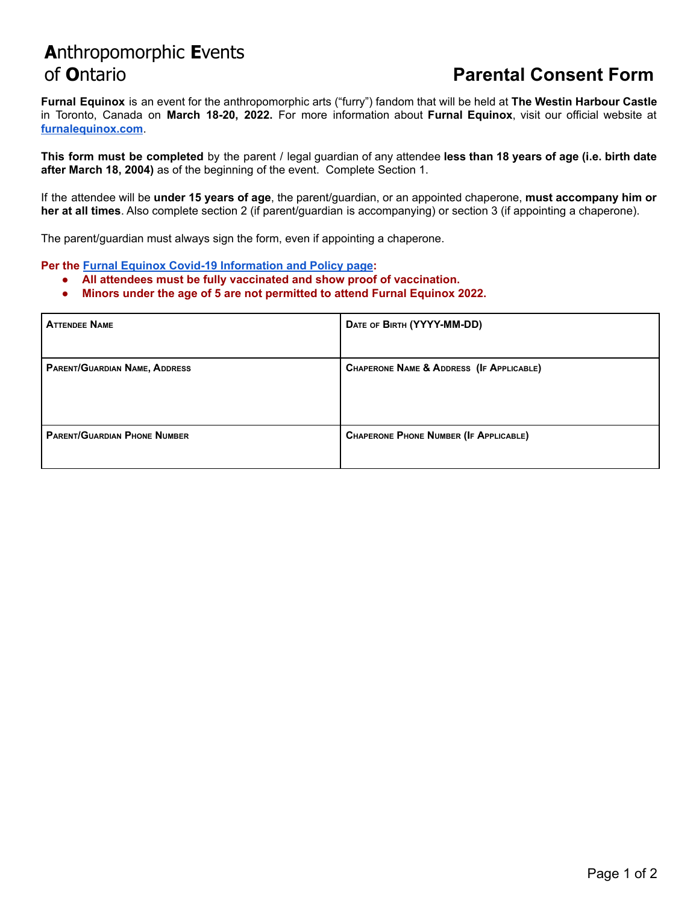## **A**nthropomorphic **E**vents of **O**ntario **Parental Consent Form**

**Furnal Equinox** is an event for the anthropomorphic arts ("furry") fandom that will be held at **The Westin Harbour Castle** in Toronto, Canada on **March 18-20, 2022.** For more information about **Furnal Equinox**, visit our official website at **[furnalequinox.com](http://www.furnalequinox.com)**.

**This form must be completed** by the parent / legal guardian of any attendee **less than 18 years of age (i.e. birth date after March 18, 2004)** as of the beginning of the event. Complete Section 1.

If the attendee will be **under 15 years of age**, the parent/guardian, or an appointed chaperone, **must accompany him or her at all times**. Also complete section 2 (if parent/guardian is accompanying) or section 3 (if appointing a chaperone).

The parent/guardian must always sign the form, even if appointing a chaperone.

**Per the Furnal Equinox Covid-19 [Information](https://furnalequinox.com/fe-2022-covid-19-safety/) and Policy page:**

- **● All attendees must be fully vaccinated and show proof of vaccination.**
- **● Minors under the age of 5 are not permitted to attend Furnal Equinox 2022.**

| <b>ATTENDEE NAME</b>                | DATE OF BIRTH (YYYY-MM-DD)               |
|-------------------------------------|------------------------------------------|
| PARENT/GUARDIAN NAME, ADDRESS       | CHAPERONE NAME & ADDRESS (IF APPLICABLE) |
| <b>PARENT/GUARDIAN PHONE NUMBER</b> | CHAPERONE PHONE NUMBER (IF APPLICABLE)   |